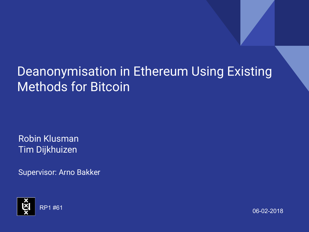# Deanonymisation in Ethereum Using Existing Methods for Bitcoin

Robin Klusman Tim Dijkhuizen

Supervisor: Arno Bakker

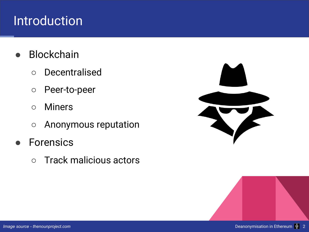## Introduction

- **Blockchain** 
	- Decentralised
	- Peer-to-peer
	- Miners
	- Anonymous reputation
- **Forensics** 
	- Track malicious actors

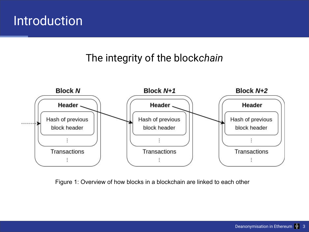#### Introduction

#### The integrity of the block*chain*



Figure 1: Overview of how blocks in a blockchain are linked to each other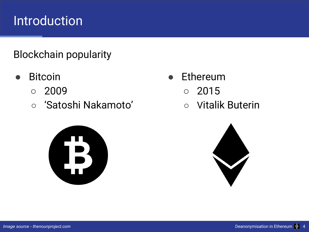## **Introduction**

#### Blockchain popularity

- **Bitcoin** 
	- 2009
	- 'Satoshi Nakamoto'



- **Ethereum** 
	- 2015
	- Vitalik Buterin

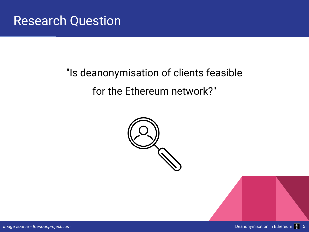# "Is deanonymisation of clients feasible for the Ethereum network?"

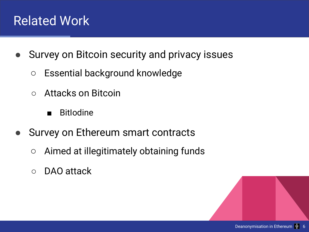### Related Work

- Survey on Bitcoin security and privacy issues
	- Essential background knowledge
	- Attacks on Bitcoin
		- BitIodine
- Survey on Ethereum smart contracts
	- Aimed at illegitimately obtaining funds
	- DAO attack

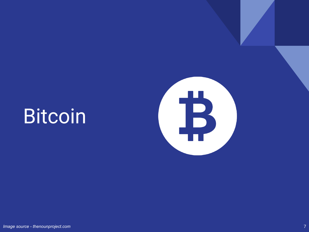

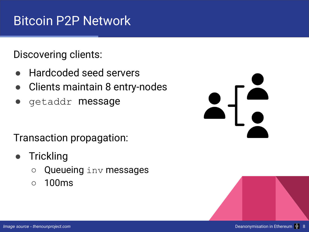## Bitcoin P2P Network

Discovering clients:

- Hardcoded seed servers
- Clients maintain 8 entry-nodes
- getaddr **message**

Transaction propagation:

- **Trickling** 
	- Queueing inv messages
	- 100ms

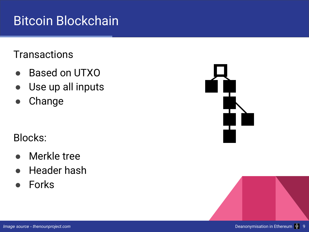## Bitcoin Blockchain

#### **Transactions**

- **Based on UTXO**
- Use up all inputs
- Change

#### Blocks:

- **Merkle tree**
- **Header hash**
- **Forks**



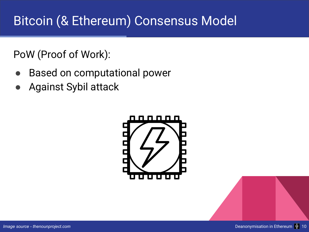# Bitcoin (& Ethereum) Consensus Model

PoW (Proof of Work):

- **Based on computational power**
- Against Sybil attack

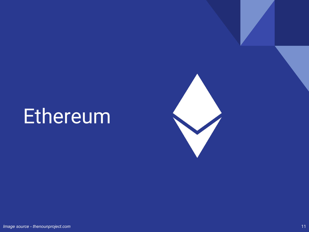# Ethereum

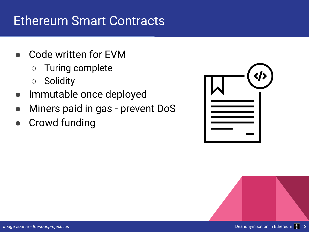#### Ethereum Smart Contracts

- Code written for EVM
	- Turing complete
	- Solidity
- Immutable once deployed
- Miners paid in gas prevent DoS
- **Crowd funding**

| $\left\langle \right\rangle$ |
|------------------------------|
|                              |

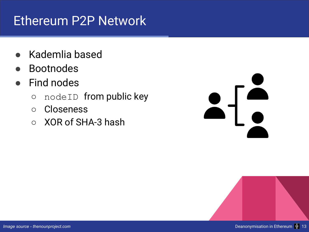## Ethereum P2P Network

- Kademlia based
- **Bootnodes**
- **Find nodes** 
	- nodeID from public key
	- Closeness
	- XOR of SHA-3 hash

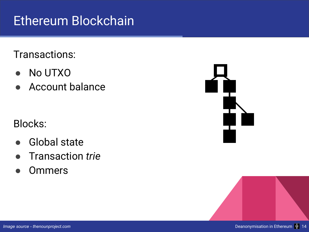# Ethereum Blockchain

Transactions:

- No UTXO
- **Account balance**

Blocks:

- **Global state**
- Transaction *trie*
- **Ommers**



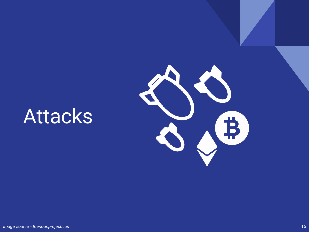# Attacks

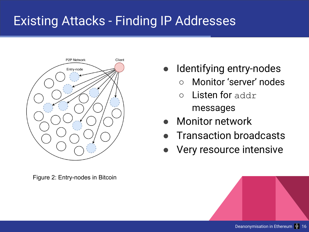# Existing Attacks - Finding IP Addresses



Figure 2: Entry-nodes in Bitcoin

- Identifying entry-nodes
	- Monitor 'server' nodes
	- Listen for addr messages
- Monitor network
- **Transaction broadcasts**
- Very resource intensive

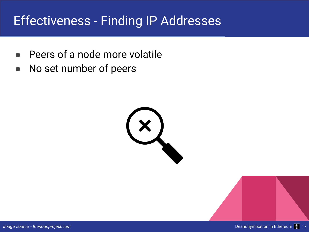# Effectiveness - Finding IP Addresses

- Peers of a node more volatile
- No set number of peers

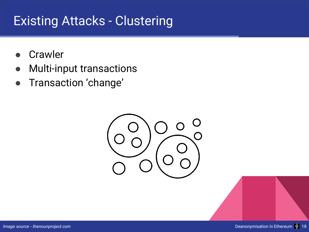## Existing Attacks - Clustering

- **Crawler**
- **Multi-input transactions**
- Transaction 'change'

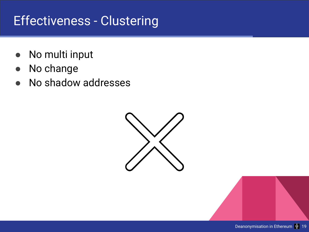# Effectiveness - Clustering

- No multi input
- No change
- No shadow addresses

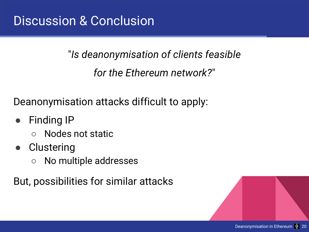#### "*Is deanonymisation of clients feasible*

*for the Ethereum network?*"

Deanonymisation attacks difficult to apply:

- **Finding IP** 
	- Nodes not static
- Clustering
	- No multiple addresses

But, possibilities for similar attacks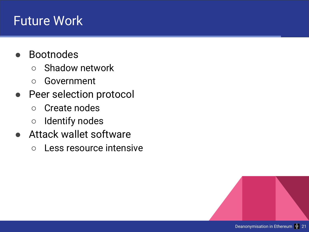#### Future Work

- **Bootnodes** 
	- Shadow network
	- Government
- Peer selection protocol
	- Create nodes
	- Identify nodes
- Attack wallet software
	- Less resource intensive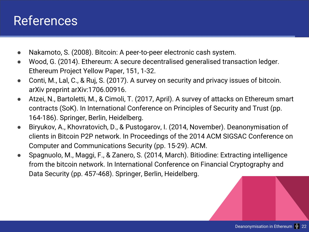#### References

- Nakamoto, S. (2008). Bitcoin: A peer-to-peer electronic cash system.
- Wood, G. (2014). Ethereum: A secure decentralised generalised transaction ledger. Ethereum Project Yellow Paper, 151, 1-32.
- Conti, M., Lal, C., & Ruj, S. (2017). A survey on security and privacy issues of bitcoin. arXiv preprint arXiv:1706.00916.
- Atzei, N., Bartoletti, M., & Cimoli, T. (2017, April). A survey of attacks on Ethereum smart contracts (SoK). In International Conference on Principles of Security and Trust (pp. 164-186). Springer, Berlin, Heidelberg.
- Biryukov, A., Khovratovich, D., & Pustogarov, I. (2014, November). Deanonymisation of clients in Bitcoin P2P network. In Proceedings of the 2014 ACM SIGSAC Conference on Computer and Communications Security (pp. 15-29). ACM.
- Spagnuolo, M., Maggi, F., & Zanero, S. (2014, March). Bitiodine: Extracting intelligence from the bitcoin network. In International Conference on Financial Cryptography and Data Security (pp. 457-468). Springer, Berlin, Heidelberg.